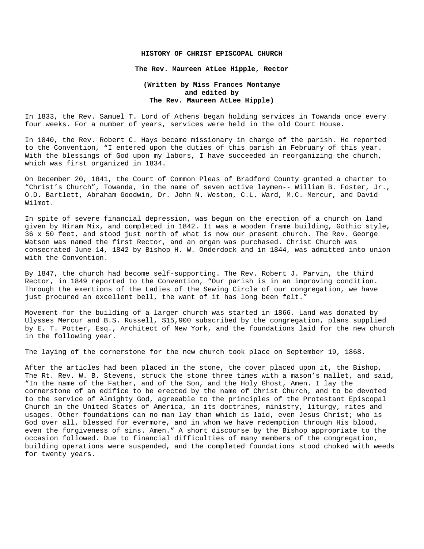## **HISTORY OF CHRIST EPISCOPAL CHURCH**

## **The Rev. Maureen AtLee Hipple, Rector**

## **(Written by Miss Frances Montanye and edited by The Rev. Maureen AtLee Hipple)**

In 1833, the Rev. Samuel T. Lord of Athens began holding services in Towanda once every four weeks. For a number of years, services were held in the old Court House.

In 1840, the Rev. Robert C. Hays became missionary in charge of the parish. He reported to the Convention, "I entered upon the duties of this parish in February of this year. With the blessings of God upon my labors, I have succeeded in reorganizing the church, which was first organized in 1834.

On December 20, 1841, the Court of Common Pleas of Bradford County granted a charter to "Christ's Church", Towanda, in the name of seven active laymen-- William B. Foster, Jr., O.D. Bartlett, Abraham Goodwin, Dr. John N. Weston, C.L. Ward, M.C. Mercur, and David Wilmot.

In spite of severe financial depression, was begun on the erection of a church on land given by Hiram Mix, and completed in 1842. It was a wooden frame building, Gothic style, 36 x 50 feet, and stood just north of what is now our present church. The Rev. George Watson was named the first Rector, and an organ was purchased. Christ Church was consecrated June 14, 1842 by Bishop H. W. Onderdock and in 1844, was admitted into union with the Convention.

By 1847, the church had become self-supporting. The Rev. Robert J. Parvin, the third Rector, in 1849 reported to the Convention, "Our parish is in an improving condition. Through the exertions of the Ladies of the Sewing Circle of our congregation, we have just procured an excellent bell, the want of it has long been felt."

Movement for the building of a larger church was started in 1866. Land was donated by Ulysses Mercur and B.S. Russell, \$15,900 subscribed by the congregation, plans supplied by E. T. Potter, Esq., Architect of New York, and the foundations laid for the new church in the following year.

The laying of the cornerstone for the new church took place on September 19, 1868.

After the articles had been placed in the stone, the cover placed upon it, the Bishop, The Rt. Rev. W. B. Stevens, struck the stone three times with a mason's mallet, and said, "In the name of the Father, and of the Son, and the Holy Ghost, Amen. I lay the cornerstone of an edifice to be erected by the name of Christ Church, and to be devoted to the service of Almighty God, agreeable to the principles of the Protestant Episcopal Church in the United States of America, in its doctrines, ministry, liturgy, rites and usages. Other foundations can no man lay than which is laid, even Jesus Christ; who is God over all, blessed for evermore, and in whom we have redemption through His blood, even the forgiveness of sins. Amen." A short discourse by the Bishop appropriate to the occasion followed. Due to financial difficulties of many members of the congregation, building operations were suspended, and the completed foundations stood choked with weeds for twenty years.